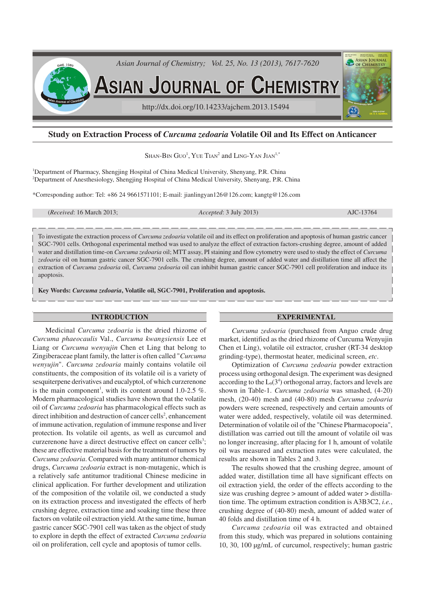

# **Study on Extraction Process of** *Curcuma zedoaria* **Volatile Oil and Its Effect on Anticancer**

SHAN-BIN  $\rm G$ UO<sup>1</sup>, YUE TIAN<sup>2</sup> and LING-YAN  $\rm J$ IAN<sup>1,\*</sup>

<sup>1</sup>Department of Pharmacy, Shengjing Hospital of China Medical University, Shenyang, P.R. China <sup>2</sup>Department of Anesthesiology, Shengjing Hospital of China Medical University, Shenyang, P.R. China

\*Corresponding author: Tel: +86 24 9661571101; E-mail: jianlingyan126@126.com; kangtg@126.com

(*Received*: 16 March 2013; *Accepted*: 3 July 2013) AJC-13764

To investigate the extraction process of *Curcuma zedoaria* volatile oil and its effect on proliferation and apoptosis of human gastric cancer SGC-7901 cells. Orthogonal experimental method was used to analyze the effect of extraction factors-crushing degree, amount of added water and distillation time-on *Curcuma zedoaria* oil; MTT assay, PI staining and flow cytometry were used to study the effect of *Curcuma zedoaria* oil on human gastric cancer SGC-7901 cells. The crushing degree, amount of added water and distillation time all affect the extraction of *Curcuma zedoaria* oil, *Curcuma zedoaria* oil can inhibit human gastric cancer SGC-7901 cell proliferation and induce its apoptosis.

**Key Words:** *Curcuma zedoaria***, Volatile oil, SGC-7901, Proliferation and apoptosis.**

## **INTRODUCTION**

Medicinal *Curcuma zedoaria* is the dried rhizome of *Curcuma phaeocaulis* Val., *Curcuma kwangsiensis* Lee et Liang or *Curcuma wenyujin* Chen et Ling that belong to Zingiberaceae plant family, the latter is often called "*Curcuma wenyujin*". *Curcuma zedoaria* mainly contains volatile oil constituents, the composition of its volatile oil is a variety of sesquiterpene derivatives and eucalyptol, of which curzerenone is the main component<sup>1</sup>, with its content around 1.0-2.5 %. Modern pharmacological studies have shown that the volatile oil of *Curcuma zedoaria* has pharmacological effects such as direct inhibition and destruction of cancer cells<sup>2</sup>, enhancement of immune activation, regulation of immune response and liver protection. Its volatile oil agents, as well as curcumol and curzerenone have a direct destructive effect on cancer cells<sup>3</sup>; these are effective material basis for the treatment of tumors by *Curcuma zedoaria*. Compared with many antitumor chemical drugs, *Curcuma zedoaria* extract is non-mutagenic, which is a relatively safe antitumor traditional Chinese medicine in clinical application. For further development and utilization of the composition of the volatile oil, we conducted a study on its extraction process and investigated the effects of herb crushing degree, extraction time and soaking time these three factors on volatile oil extraction yield. At the same time, human gastric cancer SGC-7901 cell was taken as the object of study to explore in depth the effect of extracted *Curcuma zedoaria* oil on proliferation, cell cycle and apoptosis of tumor cells.

# **EXPERIMENTAL**

*Curcuma zedoaria* (purchased from Anguo crude drug market, identified as the dried rhizome of Curcuma Wenyujin Chen et Ling), volatile oil extractor, crusher (RT-34 desktop grinding-type), thermostat heater, medicinal screen, *etc*.

Optimization of *Curcuma zedoaria* powder extraction process using orthogonal design. The experiment was designed according to the  $L_9(3^4)$  orthogonal array, factors and levels are shown in Table-1. *Curcuma zedoaria* was smashed, (4-20) mesh, (20-40) mesh and (40-80) mesh *Curcuma zedoaria* powders were screened, respectively and certain amounts of water were added, respectively, volatile oil was determined. Determination of volatile oil of the "Chinese Pharmacopoeia", distillation was carried out till the amount of volatile oil was no longer increasing, after placing for 1 h, amount of volatile oil was measured and extraction rates were calculated, the results are shown in Tables 2 and 3.

The results showed that the crushing degree, amount of added water, distillation time all have significant effects on oil extraction yield, the order of the effects according to the size was crushing degree > amount of added water > distillation time. The optimum extraction condition is A3B3C2, *i.e.*, crushing degree of (40-80) mesh, amount of added water of 40 folds and distillation time of 4 h.

*Curcuma zedoaria* oil was extracted and obtained from this study, which was prepared in solutions containing 10, 30, 100 µg/mL of curcumol, respectively; human gastric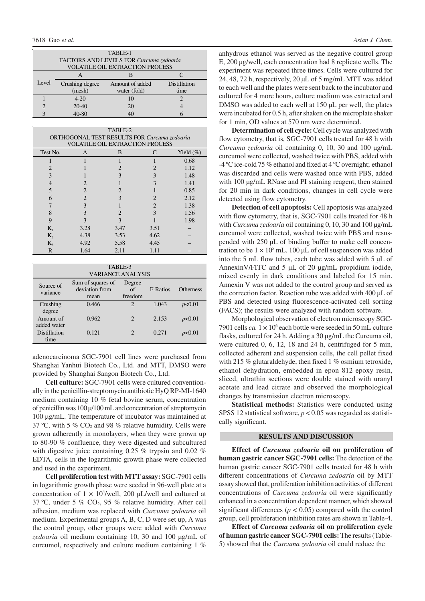| TABLE-1                                 |                 |                 |              |  |  |  |  |
|-----------------------------------------|-----------------|-----------------|--------------|--|--|--|--|
| FACTORS AND LEVELS FOR Curcuma zedoaria |                 |                 |              |  |  |  |  |
| <b>VOLATILE OIL EXTRACTION PROCESS</b>  |                 |                 |              |  |  |  |  |
|                                         |                 |                 |              |  |  |  |  |
| Level                                   | Crushing degree | Amount of added | Distillation |  |  |  |  |
|                                         | (mesh)          | water (fold)    | time         |  |  |  |  |
|                                         | $4 - 20$        | 10              |              |  |  |  |  |
|                                         | $20-40$         | 20              |              |  |  |  |  |
| 2                                       | 40-80           |                 |              |  |  |  |  |

|          |                | TABLE-2<br>ORTHOGONAL TEST RESULTS FOR Curcuma zedoaria<br><b>VOLATILE OIL EXTRACTION PROCESS</b> |                |              |
|----------|----------------|---------------------------------------------------------------------------------------------------|----------------|--------------|
| Test No. | A              | B                                                                                                 | C              | Yield $(\%)$ |
|          |                |                                                                                                   |                | 0.68         |
|          |                | 2                                                                                                 | 2              | 1.12         |
| 3        |                | 3                                                                                                 | 3              | 1.48         |
|          | $\mathcal{D}$  |                                                                                                   | 3              | 1.41         |
| 5        | $\mathfrak{D}$ |                                                                                                   |                | 0.85         |
| 6        | $\overline{c}$ | 3                                                                                                 | $\mathfrak{D}$ | 2.12         |
|          | 3              |                                                                                                   | $\mathfrak{D}$ | 1.38         |
| 8        | 3              | 2                                                                                                 | 3              | 1.56         |
| 9        | $\mathbf{3}$   | 3                                                                                                 |                | 1.98         |
| $K_1$    | 3.28           | 3.47                                                                                              | 3.51           |              |
| $K_2$    | 4.38           | 3.53                                                                                              | 4.62           |              |
| $K_3$    | 4.92           | 5.58                                                                                              | 4.45           |              |
| R        | 1.64           | 2.11                                                                                              | 1.11           |              |

| TABLE-3 |            |  |  |  |  |                |  |
|---------|------------|--|--|--|--|----------------|--|
|         | . <i>.</i> |  |  |  |  | 1.7.7.1.7.7777 |  |

| VARIANCE ANALYSIS        |                                             |                         |                 |                  |  |  |  |
|--------------------------|---------------------------------------------|-------------------------|-----------------|------------------|--|--|--|
| Source of<br>variance    | Sum of squares of<br>deviation from<br>mean | Degree<br>of<br>freedom | <b>F-Ratios</b> | <b>Otherness</b> |  |  |  |
| Crushing<br>degree       | 0.466                                       | 2                       | 1.043           | p<0.01           |  |  |  |
| Amount of<br>added water | 0.962                                       | $\mathfrak{D}$          | 2.153           | p<0.01           |  |  |  |
| Distillation<br>time     | 0.121                                       | $\mathcal{D}$           | 0.271           | p<0.01           |  |  |  |

adenocarcinoma SGC-7901 cell lines were purchased from Shanghai Yanhui Biotech Co., Ltd. and MTT, DMSO were provided by Shanghai Sangon Biotech Co., Ltd.

**Cell culture:** SGC-7901 cells were cultured conventionally in the penicillin-streptomycin antibiotic HyQ RP-MI-1640 medium containing 10 % fetal bovine serum, concentration of penicillin was 100 µ/100 mL and concentration of streptomycin 100 µg/mL. The temperature of incubator was maintained at 37 °C, with 5 %  $CO<sub>2</sub>$  and 98 % relative humidity. Cells were grown adherently in monolayers, when they were grown up to 80-90 % confluence, they were digested and subcultured with digestive juice containing 0.25 % trypsin and 0.02 % EDTA, cells in the logarithmic growth phase were collected and used in the experiment.

**Cell proliferation test with MTT assay:** SGC-7901 cells in logarithmic growth phase were seeded in 96-well plate at a concentration of  $1 \times 10^4$ /well, 200 µL/well and cultured at 37 °C, under 5 %  $CO<sub>2</sub>$ , 95 % relative humidity. After cell adhesion, medium was replaced with *Curcuma zedoaria* oil medium. Experimental groups A, B, C, D were set up, A was the control group, other groups were added with *Curcuma zedoaria* oil medium containing 10, 30 and 100 µg/mL of curcumol, respectively and culture medium containing 1 %

anhydrous ethanol was served as the negative control group E, 200 µg/well, each concentration had 8 replicate wells. The experiment was repeated three times. Cells were cultured for 24, 48, 72 h, respectively, 20 µL of 5 mg/mL MTT was added to each well and the plates were sent back to the incubator and cultured for 4 more hours, culture medium was extracted and DMSO was added to each well at 150 µL per well, the plates were incubated for 0.5 h, after shaken on the microplate shaker for 1 min, OD values at 570 nm were determined.

**Determination of cell cycle:** Cell cycle was analyzed with flow cytometry, that is, SGC-7901 cells treated for 48 h with *Curcuma zedoaria* oil containing 0, 10, 30 and 100 µg/mL curcumol were collected, washed twice with PBS, added with -4 ºC ice-cold 75 % ethanol and fixed at 4 ºC overnight; ethanol was discarded and cells were washed once with PBS, added with 100  $\mu$ g/mL RNase and PI staining reagent, then stained for 20 min in dark conditions, changes in cell cycle were detected using flow cytometry.

**Detection of cell apoptosis:** Cell apoptosis was analyzed with flow cytometry, that is, SGC-7901 cells treated for 48 h with *Curcuma zedoaria* oil containing 0, 10, 30 and 100 µg/mL curcumol were collected, washed twice with PBS and resuspended with 250 µL of binding buffer to make cell concentration to be  $1 \times 10^5$  mL. 100 µL of cell suspension was added into the 5 mL flow tubes, each tube was added with 5 µL of AnnexinV/FITC and 5 µL of 20 µg/mL propidium iodide, mixed evenly in dark conditions and labeled for 15 min. Annexin V was not added to the control group and served as the correction factor. Reaction tube was added with 400 µL of PBS and detected using fluorescence-activated cell sorting (FACS); the results were analyzed with random software.

Morphological observation of electron microscopy SGC-7901 cells *ca*.  $1 \times 10^6$  each bottle were seeded in 50 mL culture flasks, cultured for 24 h. Adding a 30 µg/mL the Curcuma oil, were cultured 0, 6, 12, 18 and 24 h, centrifuged for 5 min, collected adherent and suspension cells, the cell pellet fixed with 215 % glutaraldehyde, then fixed 1 % osmium tetroxide, ethanol dehydration, embedded in epon 812 epoxy resin, sliced, ultrathin sections were double stained with uranyl acetate and lead citrate and observed the morphological changes by transmission electron microscopy.

**Statistical methods:** Statistics were conducted using SPSS 12 statistical software, *p* < 0.05 was regarded as statistically significant.

### **RESULTS AND DISCUSSION**

**Effect of** *Curcuma zedoaria* **oil on proliferation of human gastric cancer SGC-7901 cells:** The detection of the human gastric cancer SGC-7901 cells treated for 48 h with different concentrations of *Curcuma zedoaria* oil by MTT assay showed that, proliferation inhibition activities of different concentrations of *Curcuma zedoaria* oil were significantly enhanced in a concentration dependent manner, which showed significant differences ( $p < 0.05$ ) compared with the control group, cell proliferation inhibition rates are shown in Table-4.

**Effect of** *Curcuma zedoaria* **oil on proliferation cycle of human gastric cancer SGC-7901 cells:** The results (Table-5) showed that the *Curcuma zedoaria* oil could reduce the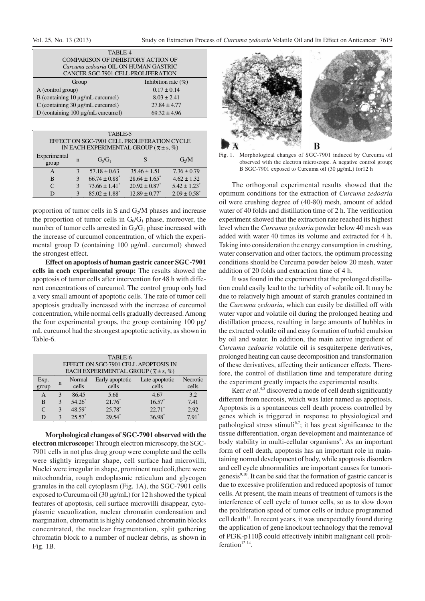| TABLE-4                                   |                  |  |  |  |  |
|-------------------------------------------|------------------|--|--|--|--|
| <b>COMPARISON OF INHIBITORY ACTION OF</b> |                  |  |  |  |  |
| Curcuma zedoaria OIL ON HUMAN GASTRIC     |                  |  |  |  |  |
| CANCER SGC-7901 CELL PROLIFERATION        |                  |  |  |  |  |
| Inhibition rate $(\%)$<br>Group           |                  |  |  |  |  |
| A (control group)                         | $0.17 \pm 0.14$  |  |  |  |  |
| B (containing $10 \mu g/mL$ curcumol)     | $8.03 \pm 2.41$  |  |  |  |  |
| C (containing 30 µg/mL curcumol)          | $27.84 \pm 4.77$ |  |  |  |  |
| D (containing $100 \mu g/mL$ curcumol)    | $69.32 \pm 4.96$ |  |  |  |  |

| TABLE-5<br>EFFECT ON SGC-7901 CELL PROLIFERATION CYCLE |   |                               |                                                   |                              |  |  |
|--------------------------------------------------------|---|-------------------------------|---------------------------------------------------|------------------------------|--|--|
|                                                        |   |                               | IN EACH EXPERIMENTAL GROUP ( $\bar{x} \pm s$ , %) |                              |  |  |
| Experimental<br>group                                  | n | $G_0/G_1$                     |                                                   | G/M                          |  |  |
| A                                                      |   | $57.18 \pm 0.63$              | $35.46 \pm 1.51$                                  | $7.36 \pm 0.79$              |  |  |
| B                                                      | 3 | $66.74 \pm 0.88$ <sup>*</sup> | $28.64 \pm 1.65$ <sup>*</sup>                     | $4.62 \pm 1.32$              |  |  |
| $\subset$                                              | 3 | $73.66 \pm 1.41$ <sup>*</sup> | $20.92 \pm 0.87^*$                                | $5.42 \pm 1.23$ <sup>*</sup> |  |  |
|                                                        |   | $85.02 \pm 1.88$ <sup>*</sup> | $12.89 \pm 0.77$ <sup>*</sup>                     | $2.09 \pm 0.58$ <sup>*</sup> |  |  |

proportion of tumor cells in S and  $G_2/M$  phases and increase the proportion of tumor cells in  $G_0/G_1$  phase, moreover, the number of tumor cells arrested in  $G_0/G_1$  phase increased with the increase of curcumol concentration, of which the experimental group D (containing 100 µg/mL curcumol) showed the strongest effect.

**Effect on apoptosis of human gastric cancer SGC-7901 cells in each experimental group:** The results showed the apoptosis of tumor cells after intervention for 48 h with different concentrations of curcumol. The control group only had a very small amount of apoptotic cells. The rate of tumor cell apoptosis gradually increased with the increase of curcumol concentration, while normal cells gradually decreased. Among the four experimental groups, the group containing 100 µg/ mL curcumol had the strongest apoptotic activity, as shown in Table-6.

| TABLE-6<br>EFFECT ON SGC-7901 CELL APOPTOSIS IN                                                                                                                          |   |          |          |                      |         |  |  |
|--------------------------------------------------------------------------------------------------------------------------------------------------------------------------|---|----------|----------|----------------------|---------|--|--|
| EACH EXPERIMENTAL GROUP ( $\overline{x} \pm s$ , %)<br>Early apoptotic<br>Necrotic<br>Normal<br>Late apoptotic<br>Exp.<br>n<br>group<br>cells<br>cells<br>cells<br>cells |   |          |          |                      |         |  |  |
| A                                                                                                                                                                        | 3 | 86.45    | 5.68     | 4.67                 | 3.2     |  |  |
| B                                                                                                                                                                        | 3 | $54.26*$ | $21.76*$ | $16.57*$             | 7.41    |  |  |
| $\mathsf{C}$                                                                                                                                                             | 3 | 48.59*   | $25.78*$ | $22.71$ <sup>*</sup> | 2.92    |  |  |
| D                                                                                                                                                                        | 3 | $25.57*$ | $29.54*$ | $36.98*$             | $7.91*$ |  |  |

**Morphological changes of SGC-7901 observed with the electron microscope:** Through electron microscopy, the SGC-7901 cells in not plus drug group were complete and the cells were slightly irregular shape, cell surface had microvilli, Nuclei were irregular in shape, prominent nucleoli,there were mitochondria, rough endoplasmic reticulum and glycogen granules in the cell cytoplasm (Fig. 1A), the SGC-7901 cells exposed to Curcuma oil (30 µg/mL) for 12 h showed the typical features of apoptosis, cell surface microvilli disappear, cytoplasmic vacuolization, nuclear chromatin condensation and margination, chromatin is highly condensed chromatin blocks concentrated, the nuclear fragmentation, split gathering chromatin block to a number of nuclear debris, as shown in Fig. 1B.



Fig. 1. Morphological changes of SGC-7901 induced by Curcuma oil observed with the electron microscope. A negative control group; B SGC-7901 exposed to Curcuma oil (30 µg/mL) for 12 h

The orthogonal experimental results showed that the optimum conditions for the extraction of *Curcuma zedoaria* oil were crushing degree of (40-80) mesh, amount of added water of 40 folds and distillation time of 2 h. The verification experiment showed that the extraction rate reached its highest level when the *Curcuma zedoaria* powder below 40 mesh was added with water 40 times its volume and extracted for 4 h. Taking into consideration the energy consumption in crushing, water conservation and other factors, the optimum processing conditions should be Curcuma powder below 20 mesh, water addition of 20 folds and extraction time of 4 h.

It was found in the experiment that the prolonged distillation could easily lead to the turbidity of volatile oil. It may be due to relatively high amount of starch granules contained in the *Curcuma zedoaria*, which can easily be distilled off with water vapor and volatile oil during the prolonged heating and distillation process, resulting in large amounts of bubbles in the extracted volatile oil and easy formation of turbid emulsion by oil and water. In addition, the main active ingredient of *Curcuma zedoaria* volatile oil is sesquiterpene derivatives, prolonged heating can cause decomposition and transformation of these derivatives, affecting their anticancer effects. Therefore, the control of distillation time and temperature during the experiment greatly impacts the experimental results.

Kerr *et al*.<sup>4,5</sup> discovered a mode of cell death significantly different from necrosis, which was later named as apoptosis. Apoptosis is a spontaneous cell death process controlled by genes which is triggered in response to physiological and pathological stress stimuli<sup>6,7</sup>; it has great significance to the tissue differentiation, organ development and maintenance of body stability in multi-cellular organisms<sup>8</sup>. As an important form of cell death, apoptosis has an important role in maintaining normal development of body, while apoptosis disorders and cell cycle abnormalities are important causes for tumorigenesis $9,10$ . It can be said that the formation of gastric cancer is due to excessive proliferation and reduced apoptosis of tumor cells. At present, the main means of treatment of tumors is the interference of cell cycle of tumor cells, so as to slow down the proliferation speed of tumor cells or induce programmed cell death $11$ . In recent years, it was unexpectedly found during the application of gene knockout technology that the removal of PI3K-p110β could effectively inhibit malignant cell proliferation $12-14$ .